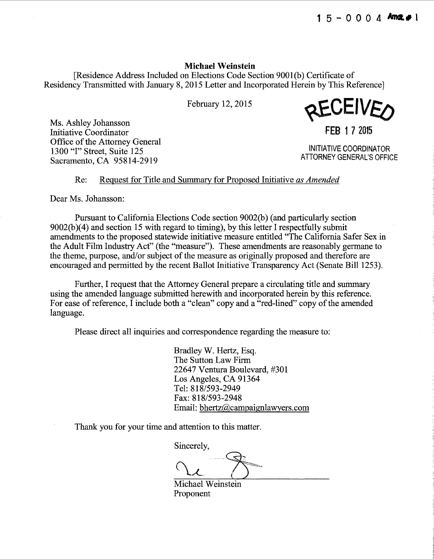#### **Michael Weinstein**

[Residence Address Included on Elections Code Section 9001 (b) Certificate of Residency Transmitted with January 8, 2015 Letter and Incorporated Herein by This Reference]

February 12, 2015

Ms. Ashley Johansson Initiative Coordinator **FEB** 1 7 2015 Office of the Attorney General 1300 'T" Street, Suite 125<br>
Segremente CA 05814 2010 Sacramento, CA 95814-2919

REVLIVEO

#### Re: Request for Title and Summary for Proposed Initiative *as Amended*

Dear Ms. Johansson:

Pursuant to California Elections Code section 9002(b) (and particularly section  $9002(b)(4)$  and section 15 with regard to timing), by this letter I respectfully submit amendments to the proposed statewide initiative measure entitled "The California Safer Sex in the Adult Film Industry Act" (the "measure"). These amendments are reasonably germane to the theme, purpose, and/or subject of the measure as originally proposed and therefore are encouraged and permitted by the recent Ballot Initiative Transparency Act (Senate Bill 1253).

Further, I request that the Attorney General prepare a circulating title and summary using the amended language submitted herewith and incorporated herein by this reference. For ease of reference, I include both a "clean" copy and a "red-lined" copy of the amended language.

Please direct all inquiries and correspondence regarding the measure to:

Bradley W. Hertz, Esq. The Sutton Law Firm 22647 Ventura Boulevard, #301 Los Angeles, CA 91364 Tel: 818/593-2949 Fax: 818/593-2948 Email: bhertz@campaignlawyers.com

Thank you for your time and attention to this matter.

Sincerely,

Michael Weinstein Proponent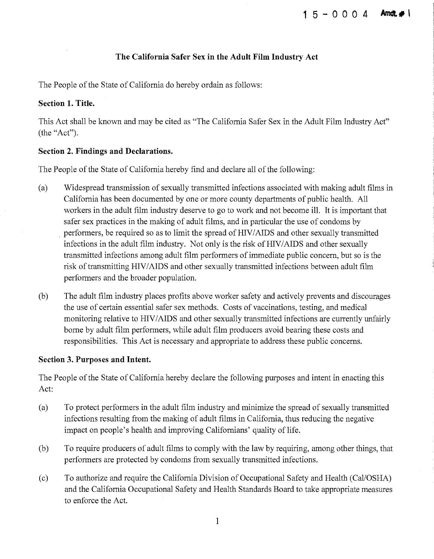## **The California Safer** Sex **in the Adult Film Industry Act**

The People of the State of California do hereby ordain as follows:

### **Section 1. Title.**

This Act shall be known and may be cited as "The California Safer Sex in the Adult Film Industry Act" (the "Act").

### **Section 2. Findings and Declarations.**

The People of the State of California hereby find and declare all of the following:

- (a) Widespread transmission of sexually transmitted infections associated with making adult films in California has been documented by one or more county departments of public health. All workers in the adult film industry deserve to go to work and not become ill. It is important that safer sex practices in the making of adult films, and in particular the use of condoms by performers, be required so as to limit the spread of HIV/AIDS and other sexually transmitted infections in the adult film industry. Not only is the risk of HIV/AIDS and other sexually transmitted infections among adult film performers of immediate public concern, but so is the risk of transmitting HIV/AIDS and other sexually transmitted infections between adult film performers and the broader population.
- (b) The adult film industry places profits above worker safety and actively prevents and discourages the use of certain essential safer sex methods. Costs of vaccinations, testing, and medical monitoring relative to HIV/AIDS and other sexually transmitted infections are currently unfairly borne by adult film performers, while adult film producers avoid bearing these costs and responsibilities. This Act is necessary and appropriate to address these public concerns.

#### **Section 3. Purposes and Intent.**

The People of the State of California hereby declare the following purposes and intent in enacting this Act:

- (a) To protect performers in the adult film industry and minimize the spread of sexually transmitted infections resulting from the making of adult films in California, thus reducing the negative impact on people's health and improving Californians' quality of life.
- (b) To require producers of adult films to comply with the law by requiring, among other things, that performers are protected by condoms from sexually transmitted infections.
- (c) To authorize and require the California Division of Occupational Safety and Health (CaliOSHA) and the California Occupational Safety and Health Standards Board to take appropriate measures to enforce the Act.

1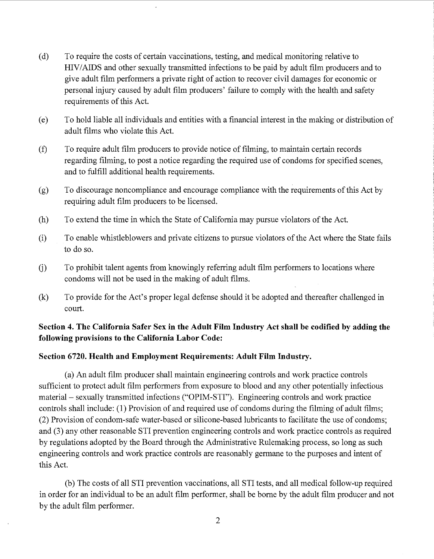- (d) To require the costs of certain vaccinations, testing, and medical monitoring relative to HIV/AIDS and other sexually transmitted infections to be paid by adult film producers and to give adult film performers a private right of action to recover civil damages for economic or personal injury caused by adult film producers' failure to comply with the health and safety requirements of this Act.
- (e) To hold liable all individuals and entities with a financial interest in the making or distribution of adult films who violate this Act.
- (f) To require adult film producers to provide notice of filming, to maintain certain records regarding filming, to post a notice regarding the required use of condoms for specified scenes, and to fulfill additional health requirements.
- (g) To discourage noncompliance and encourage compliance with the requirements of this Act by requiring adult film producers to be licensed.
- (h) To extend the time in which the State of California may pursue violators of the Act.
- (i) To enable whistleblowers and private citizens to pursue violators of the Act where the State fails to do so.
- G) To prohibit talent agents from knowingly referring adult film performers to locations where condoms will not be used in the making of adult films.
- (k) To provide for the Act's proper legal defense should it be adopted and thereafter challenged in court.

# Section 4. The California Safer Sex in the Adult Film Industry Act shall be codified by adding the following provisions to the California Labor Code:

## Section 6720. Health and Employment Requirements: Adult Film Industry.

(a) An adult film producer shall maintain engineering controls and work practice controls sufficient to protect adult film performers from exposure to blood and any other potentially infectious material – sexually transmitted infections ("OPIM-STI"). Engineering controls and work practice controls shall include: (1) Provision of and required use of condoms during the filming of adult films; (2) Provision of condom-safe water-based or silicone-based lubricants to facilitate the use of condoms; and (3) any other reasonable STI prevention engineering controls and work practice controls as required by regulations adopted by the Board through the Administrative Rulemaking process, so long as such engineering controls and work practice controls are reasonably germane to the purposes and intent of this Act.

(b) The costs of all STI prevention vaccinations, all STI tests, and all medical follow-up required in order for an individual to be an adult film performer, shall be borne by the adult film producer and not by the adult film performer.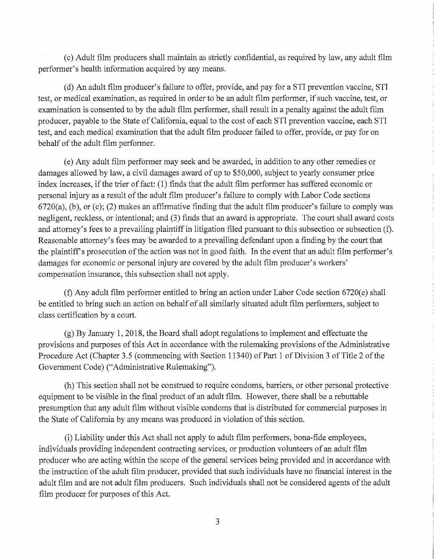(c) Adult film producers shall maintain as strictly confidential, as required by law, any adult film performer's health information acquired by any means.

(d) An adult film producer's failure to offer, provide, and pay for a STI prevention vaccine, STI test, or medical examination, as required in order to be an adult film performer, if such vaccine, test, or examination is consented to by the adult film performer, shall result in a penalty against the adult film producer, payable to the State of California, equal to the cost of each STI prevention vaccine, each STI test, and each medical examination that the adult film producer failed to offer, provide, or pay for on behalf of the adult film performer.

(e) Any adult film performer may seek and be awarded, in addition to any other remedies or damages allowed by law, a civil damages award of up to \$50,000, subject to yearly consumer price index increases, if the trier of fact: (1) finds that the adult film performer has suffered economic or personal injury as a result of the adult film producer's failure to comply with Labor Code sections  $6720(a)$ , (b), or (c); (2) makes an affirmative finding that the adult film producer's failure to comply was negligent, reckless, or intentional; and (3) finds that an award is appropriate. The court shall award costs and attorney's fees to a prevailing plaintiff in litigation filed pursuant to this subsection or subsection (f). Reasonable attorney's fees may be awarded to a prevailing defendant upon a finding by the court that the plaintiffs prosecution of the action was not in good faith. In the event that an adult film performer's damages for economic or personal injury are covered by the adult film producer's workers' compensation insurance, this subsection shall not apply.

(f) Any adult film performer entitled to bring an action tmder Labor Code section 6720(e) shall be entitled to bring such an action on behalf of all similarly situated adult film performers, subject to class certification by a court.

(g) By January 1, 2018, the Board shall adopt regulations to implement and effectuate the provisions and purposes of this Act in accordance with the rulemaking provisions of the Administrative Procedure Act (Chapter 3.5 (commencing with Section 11340) of Part 1 of Division 3 of Title 2 of the Government Code) ("Administrative Rulemaking").

(h) This section shall not be construed to require condoms, barriers, or other personal protective equipment to be visible in the final product of an adult film. However, there shall be a rebuttable presumption that any adult film without visible condoms that is distributed for commercial purposes in the State of California by any means was produced in violation of this section.

(i) Liability under this Act shall not apply to adult film performers, bona-fide employees, individuals providing independent contracting services, or production volunteers of an adult film producer who are acting within the scope of the general services being provided and in accordance with the instruction of the adult film producer, provided that such individuals have no financial interest in the adult film and are not adult film producers. Such individuals shall not be considered agents of the adult film producer for purposes of this Act.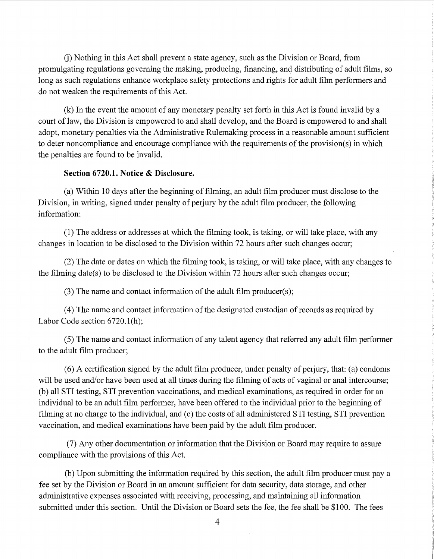G) Nothing in this Act shall prevent a state agency, such as the Division or Board, from promulgating regulations governing the making, producing, financing, and distributing of adult films, so long as such regulations enhance workplace safety protections and rights for adult film performers and do not weaken the requirements of this Act.

(k) In the event the amount of any monetary penalty set forth in this Act is found invalid by a court of law, the Division is empowered to and shall develop, and the Board is empowered to and shall adopt, monetary penalties via the Administrative Rulemaking process in a reasonable amount sufficient to deter noncompliance and encourage compliance with the requirements of the provision(s) in which the penalties are found to be invalid.

#### **Section 6720.1. Notice & Disclosure.**

(a) Within 10 days after the beginning of filming, an adult film producer must disclose to the Division, in writing, signed under penalty of perjury by the adult film producer, the following information:

(1) The address or addresses at which the filming took, is taking, or will take place, with any changes in location to be disclosed to the Division within 72 hours after such changes occur;

(2) The date or dates on which the filming took, is taking, or will take place, with any changes to the filming date(s) to be disclosed to the Division within 72 hours after such changes occur;

(3) The name and contact information of the adult film producer(s);

(4) The name and contact information of the designated custodian of records as required by Labor Code section 6720.1(h);

(5) The name and contact information of any talent agency that referred any adult film performer to the adult film producer;

(6) A certification signed by the adult film producer, under penalty of perjury, that: (a) condoms will be used and/or have been used at all times during the filming of acts of vaginal or anal intercourse; (b) all STI testing, STI prevention vaccinations, and medical examinations, as required in order for an individual to be an adult film performer, have been offered to the individual prior to the beginning of filming at no charge to the individual, and (c) the costs of all administered STI testing, STI prevention vaccination, and medical examinations have been paid by the adult film producer.

(7) Any other documentation or information that the Division or Board may require to assure compliance with the provisions of this Act.

(b) Upon submitting the information required by this section, the adult film producer must pay a fee set by the Division or Board in an amount sufficient for data security, data storage, and other administrative expenses associated with receiving, processing, and maintaining all information submitted under this section. Until the Division or Board sets the fee, the fee shall be \$100. The fees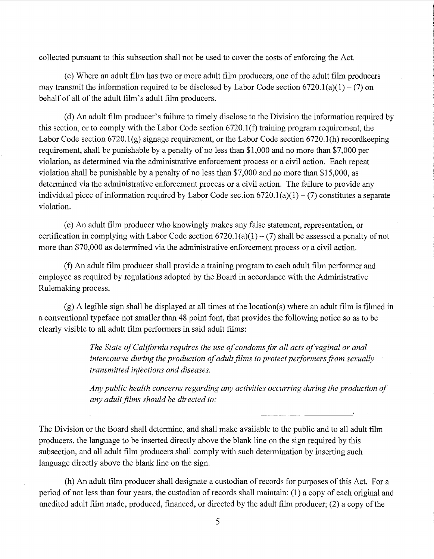collected pursuant to this subsection shall not be used to cover the costs of enforcing the Act.

(c) Where an adult film has two or more adult film producers, one of the adult film producers may transmit the information required to be disclosed by Labor Code section  $6720.1(a)(1) - (7)$  on behalf of all of the adult film's adult film producers.

(d) An adult film producer's failure to timely disclose to the Division the information required by this section, or to comply with the Labor Code section 6720.1 (f) training program requirement, the Labor Code section  $6720.1(g)$  signage requirement, or the Labor Code section  $6720.1(h)$  recordkeeping requirement, shall be punishable by a penalty of no less than \$1,000 and no more than \$7,000 per violation, as determined via the administrative enforcement process or a civil action. Each repeat violation shall be punishable by a penalty of no less than \$7,000 and no more than \$15,000, as determined via the administrative enforcement process or a civil action. The failure to provide any individual piece of information required by Labor Code section  $6720.1(a)(1) - (7)$  constitutes a separate violation.

(e) An adult film producer who knowingly makes any false statement, representation, or certification in complying with Labor Code section  $6720.1(a)(1) - (7)$  shall be assessed a penalty of not more than \$70,000 as determined via the administrative enforcement process or a civil action.

(f) An adult film producer shall provide a training program to each adult film performer and employee as required by regulations adopted by the Board in accordance with the Administrative Rulemaking process.

(g) A legible sign shall be displayed at all times at the location(s) where an adult film is filmed in a conventional typeface not smaller than 48 point font, that provides the following notice so as to be clearly visible to all adult film performers in said adult films:

> *The State of California requires the use of condoms for all acts of vaginal or anal intercourse during the production of adult films to protect performers from sexually transmitted infections and diseases.*

*Any public health concerns regarding any activities occurring during the production of any adult films should be directed to:* 

The Division or the Board shall determine, and shall make available to the public and to all adult film producers, the language to be inserted directly above the blank line on the sign required by this subsection, and all adult film producers shall comply with such determination by inserting such language directly above the blank line on the sign.

(h) An adult film producer shall designate a custodian of records for purposes of this Act. For a period of not less than four years, the custodian of records shall maintain: (1) a copy of each original and unedited adult film made, produced, financed, or directed by the adult film producer; (2) a copy of the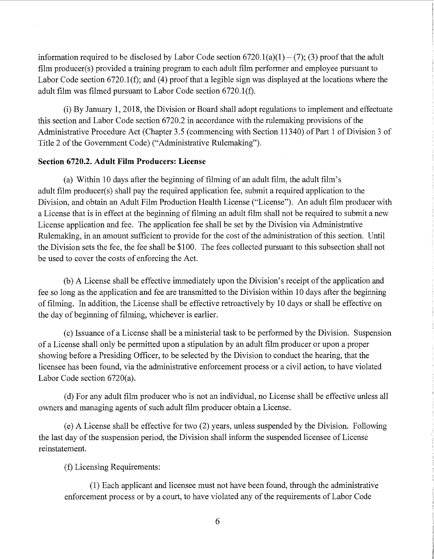information required to be disclosed by Labor Code section  $6720.1(a)(1) - (7)$ ; (3) proof that the adult film producer(s) provided a training program to each adult film performer and employee pursuant to Labor Code section  $6720.1(f)$ ; and (4) proof that a legible sign was displayed at the locations where the adult film was filmed pursuant to Labor Code section 6720.1(f).

(i) By January 1, 2018, the Division or Board shall adopt regulations to implement and effectuate this section and Labor Code section 6720.2 in accordance with the rulemaking provisions of the Administrative Procedure Act (Chapter 3.5 (commencing with Section 11340) of Part 1 of Division 3 of Title 2 of the Government Code) ("Administrative Rulemaking").

## Section 6720.2. Adult Film Producers: License

(a) Within 10 days after the beginning of filming of an adult film, the adult film's adult film producer(s) shall pay the required application fee, submit a required application to the Division, and obtain an Adult Film Production Health License ("License"). An adult film producer with a License that is in effect at the beginning of filming an adult film shall not be required to submit a new License application and fee. The application fee shall be set by the Division via Administrative Rulemaking, in an amount sufficient to provide for the cost of the administration of this section. Until the Division sets the fee, the fee shall be \$100. The fees collected pursuant to this subsection shall not be used to cover the costs of enforcing the Act.

(b) A License shall be effective immediately upon the Division's receipt of the application and fee so long as the application and fee are transmitted to the Division within 10 days after the beginning of filming. In addition, the License shall be effective retroactively by 10 days or shall be effective on the day of beginning of filming, whichever is earlier.

(c) Issuance of a License shall be a ministerial task to be performed by the Division. Suspension of a License shall only be permitted upon a stipulation by an adult film producer or upon a proper showing before a Presiding Officer, to be selected by the Division to conduct the hearing, that the licensee has been found, via the administrative enforcement process or a civil action, to have violated Labor Code section 6720(a).

(d) For any adult film producer who is not an individual, no License shall be effective unless all owners and managing agents of such adult film producer obtain a License.

(e) A License shall be effective for two (2) years, unless suspended by the Division. Following the last day of the suspension period, the Division shall inform the suspended licensee of License reinstatement.

(f) Licensing Requirements:

(1) Each applicant and licensee must not have been found, through the administrative enforcement process or by a court, to have violated any of the requirements of Labor Code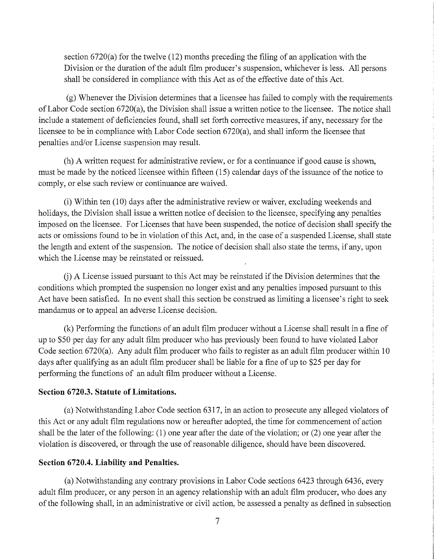section  $6720(a)$  for the twelve  $(12)$  months preceding the filing of an application with the Division or the duration of the adult film producer's suspension, whichever is less. All persons shall be considered in compliance with this Act as of the effective date of this Act.

(g) Whenever the Division determines that a licensee has failed to comply with the requirements of Labor Code section 6720(a), the Division shall issue a written notice to the licensee. The notice shall include a statement of deficiencies found, shall set forth corrective measures, if any, necessary for the licensee to be in compliance with Labor Code section 6720(a), and shall inform the licensee that penalties and/or License suspension may result.

(h) A written request for administrative review, or for a continuance if good cause is shown, must be made by the noticed licensee within fifteen (15) calendar days of the issuance of the notice to comply, or else such review or continuance are waived.

(i) Within ten  $(10)$  days after the administrative review or waiver, excluding weekends and holidays, the Division shall issue a written notice of decision to the licensee, specifying any penalties imposed on the licensee. For Licenses that have been suspended, the notice of decision shall specify the acts or omissions found to be in violation of this Act, and, in the case of a suspended License, shall state the length and extent of the suspension. The notice of decision shall also state the terms, if any, upon which the License may be reinstated or reissued.

G) A License issued pursuant to this Act may be reinstated if the Division determines that the conditions which prompted the suspension no longer exist and any penalties imposed pursuant to this Act have been satisfied. In no event shall this section be construed as limiting a licensee's right to seek mandamus or to appeal an adverse License decision.

(k) Performing the functions of an adult film producer without a License shall result in a fine of up to \$50 per day for any adult film producer who has previously been found to have violated Labor Code section 6720(a). Any adult film producer who fails to register as an adult film producer within 10 days after qualifying as an adult film producer shall be liable for a fine of up to \$25 per day for performing the functions of an adult film producer without a License.

#### **Section 6720.3. Statute of Limitations.**

(a) Notwithstanding Labor Code section 6317, in an action to prosecute any alleged violators of this Act or any adult film regulations now or hereafter adopted, the time for commencement of action shall be the later of the following: (1) one year after the date of the violation; or (2) one year after the violation is discovered, or through the use of reasonable diligence, should have been discovered.

#### **Section 6720.4. Liability and Penalties.**

(a) Notwithstanding any contrary provisions in Labor Code sections 6423 through 6436, every adult film producer, or any person in an agency relationship with an adult film producer, who does any of the following shall, in an administrative or civil action, be assessed a penalty as defined in subsection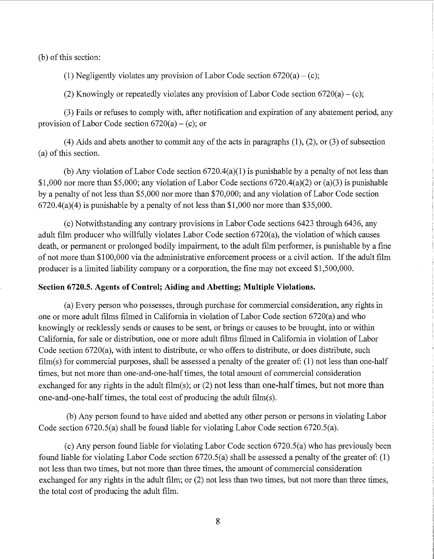(b) of this section:

(1) Negligently violates any provision of Labor Code section  $6720(a) - (c)$ ;

(2) Knowingly or repeatedly violates any provision of Labor Code section  $6720(a) - (c)$ ;

(3) Fails or refuses to comply with, after notification and expiration of any abatement period, any provision of Labor Code section  $6720(a) - (c)$ ; or

 $(4)$  Aids and abets another to commit any of the acts in paragraphs  $(1)$ ,  $(2)$ , or  $(3)$  of subsection (a) of this section.

(b) Any violation of Labor Code section  $6720.4(a)(1)$  is punishable by a penalty of not less than \$1,000 nor more than \$5,000; any violation of Labor Code sections 6720.4(a)(2) or (a)(3) is punishable by a penalty of not less than \$5,000 nor more than \$70,000; and any violation of Labor Code section 6720.4(a)(4) is punishable by a penalty of not less than \$1,000 nor more than \$35,000.

(c) Notwithstanding any contrary provisions in Labor Code sections 6423 through 6436, any adult film producer who willfully violates Labor Code section 6720(a), the violation of which causes death, or permanent or prolonged bodily impairment, to the adult film performer, is punishable by a fine of not more than \$100,000 via the administrative enforcement process or a civil action. If the adult film producer is a limited liability company or a corporation, the fine may not exceed \$1,500,000.

#### Section 6720.5. Agents of Control; Aiding and Abetting; Multiple Violations.

(a) Every person who possesses, through purchase for commercial consideration, any rights in one or more adult films filmed in California in violation of Labor Code section 6720(a) and who knowingly or recklessly sends or causes to be sent, or brings or causes to be brought, into or within California, for sale or distribution, one or more adult films filmed in California in violation of Labor Code section 6720(a), with intent to distribute, or who offers to distribute, or does distribute, such film(s) for commercial purposes, shall be assessed a penalty of the greater of: (1) not less than one-half times, but not more than one-and-one-half times, the total amount of commercial consideration exchanged for any rights in the adult film(s); or  $(2)$  not less than one-half times, but not more than one-and-one-half times, the total cost of producing the adult film(s).

(b) Any person found to have aided and abetted any other person or persons in violating Labor Code section 6720.5(a) shall be found liable for violating Labor Code section 6720.5(a).

(c) Any person found liable for violating Labor Code section 6720.5(a) who has previously been found liable for violating Labor Code section 6720.5(a) shall be assessed a penalty of the greater of: (1) not less than two times, but not more than three times, the amount of commercial consideration exchanged for any rights in the adult film; or (2) not less than two times, but not more than three times, the total cost of producing the adult film.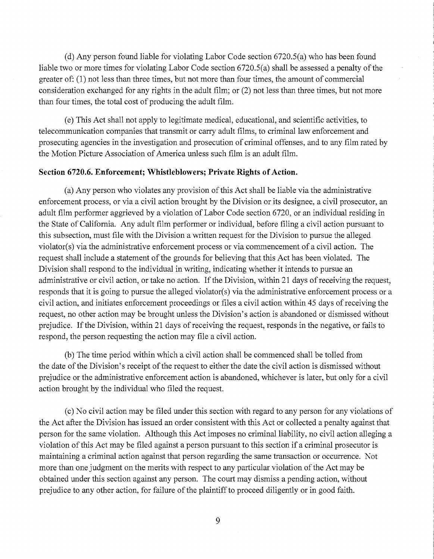(d) Any person found liable for violating Labor Code section 6720.5(a) who has been found liable two or more times for violating Labor Code section 6720.5(a) shall be assessed a penalty of the greater of: (1) not less than three times, but not more than four times, the amount of commercial consideration exchanged for any rights in the adult film; or (2) not less than three times, but not more than four times, the total cost of producing the adult film.

(e) This Act shall not apply to legitimate medical, educational, and scientific activities, to telecommunication companies that transmit or carry adult films, to criminal law enforcement and prosecuting agencies in the investigation and prosecution of criminal offenses, and to any film rated by the Motion Picture Association of America unless such film is an adult film.

#### **Section 6720.6. Enforcement; Whistleblowers; Private Rights of Action.**

(a) Any person who violates any provision of this Act shall be liable via the administrative enforcement process, or via a civil action brought by the Division or its designee, a civil prosecutor, an adult film performer aggrieved by a violation of Labor Code section 6720, or an individual residing in the State of California. Any adult film performer or individual, before filing a civil action pursuant to this subsection, must file with the Division a written request for the Division to pursue the alleged violator(s) via the administrative enforcement process or via commencement of a civil action. The request shall include a statement of the grounds for believing that this Act has been violated. The Division shall respond to the individual in writing, indicating whether it intends to pursue an administrative or civil action, or take no action. If the Division, within 21 days of receiving the request, responds that it is going to pursue the alleged violator(s) via the administrative enforcement process or a civil action, and initiates enforcement proceedings or files a civil action within 45 days of receiving the request, no other action may be brought unless the Division's action is abandoned or dismissed without prejudice. If the Division, within 21 days of receiving the request, responds in the negative, or fails to respond, the person requesting the action may file a civil action.

(b) The time period within which a civil action shall be commenced shall be tolled from the date of the Division's receipt of the request to either the date the civil action is dismissed without prejudice or the administrative enforcement action is abandoned, whichever is later, but only for a civil action brought by the individual who filed the request.

(c) No civil action may be filed under this section with regard to any person for any violations of the Act after the Division has issued an order consistent with this Act or collected a penalty against that person for the same violation. Although this Act imposes no criminal liability, no civil action alleging a violation of this Act may be filed against a person pursuant to this section if a criminal prosecutor is maintaining a criminal action against that person regarding the same transaction or occurrence. Not more than one judgment on the merits with respect to any particular violation of the Act may be obtained under this section against any person. The court may dismiss a pending action, without prejudice to any other action, for failure of the plaintiff to proceed diligently or in good faith.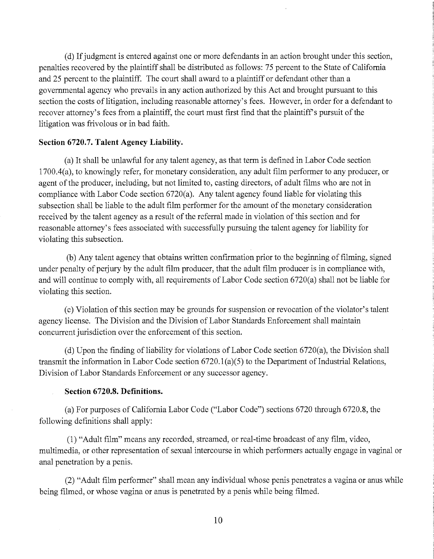(d) If judgment is entered against one or more defendants in an action brought under this section, penalties recovered by the plaintiff shall be distributed as follows: 75 percent to the State of California and 25 percent to the plaintiff. The court shall award to a plaintiff or defendant other than a governmental agency who prevails in any action authorized by this Act and brought pursuant to this section the costs of litigation, including reasonable attorney's fees. However, in order for a defendant to recover attorney's fees from a plaintiff, the court must first find that the plaintiff's pursuit of the litigation was frivolous or in bad faith.

#### **Section 6720.7. Talent Agency Liability.**

(a) It shall be unlawful for any talent agency, as that term is defined in Labor Code section 1700.4(a), to knowingly refer, for monetary consideration, any adult film performer to any producer, or agent of the producer, including, but not limited to, casting directors, of adult films who are not in compliance with Labor Code section 6720(a). Any talent agency found liable for violating this subsection shall be liable to the adult film performer for the amount of the monetary consideration received by the talent agency as a result of the referral made in violation of this section and for reasonable attorney's fees associated with successfully pursuing the talent agency for liability for violating this subsection.

(b) Any talent agency that obtains written confirmation prior to the beginning of filming, signed under penalty of perjury by the adult film producer, that the adult film producer is in compliance with, and will continue to comply with, all requirements of Labor Code section 6720(a) shall not be liable for violating this section.

(c) Violation of this section may be grounds for suspension or revocation of the violator's talent agency license. The Division and the Division of Labor Standards Enforcement shall maintain concurrent jurisdiction over the enforcement of this section.

(d) Upon the finding of liability for violations of Labor Code section 6720(a), the Division shall transmit the information in Labor Code section  $6720.1(a)(5)$  to the Department of Industrial Relations, Division of Labor Standards Enforcement or any successor agency.

#### **Section 6720.8. Definitions.**

(a) For purposes of California Labor Code ("Labor Code") sections 6720 through 6720.8, the following definitions shall apply:

(1) "Adult film" means any recorded, streamed, or real-time broadcast of any film, video, multimedia, or other representation of sexual intercourse in which performers actually engage in vaginal or anal penetration by a penis.

(2) "Adult film performer" shall mean any individual whose penis penetrates a vagina or anus while being filmed, or whose vagina or anus is penetrated by a penis while being filmed.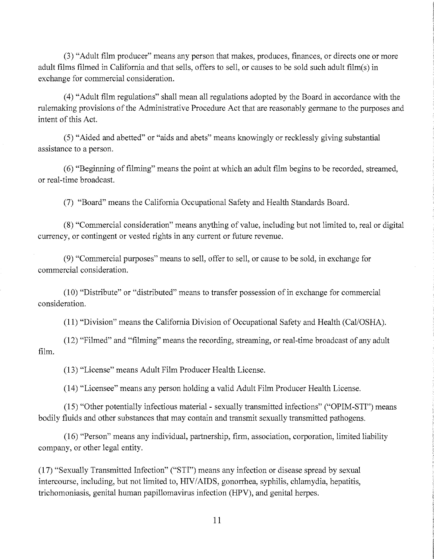(3) "Adult film producer" means any person that makes, produces, finances, or directs one or more adult films filmed in California and that sells, offers to sell, or causes to be sold such adult film(s) in exchange for commercial consideration.

(4) "Adult film regulations" shall mean all regulations adopted by the Board in accordance with the rulemaking provisions of the Administrative Procedure Act that are reasonably germane to the purposes and intent of this Act.

(5) "Aided and abetted" or "aids and abets" means knowingly or recklessly giving substantial assistance to a person.

(6) "Beginning of filming" means the point at which an adult film begins to be recorded, streamed, or real-time broadcast.

(7) "Board" means the California Occupational Safety and Health Standards Board.

(8) "Commercial consideration" means anything of value, including but not limited to, real or digital currency, or contingent or vested rights in any current or future revenue.

(9) "Commercial purposes" means to sell, offer to sell, or cause to be sold, in exchange for commercial consideration.

(1 0) "Distribute" or "distributed" means to transfer possession of in exchange for commercial consideration.

(11) "Division" means the California Division of Occupational Safety and Health (Cal/OSHA).

(12) "Filmed" and "filming" means the recording, streaming, or real-time broadcast of any adult film.

(13) "License" means Adult Film Producer Health License.

(14) "Licensee" means any person holding a valid Adult Film Producer Health License.

(15) "Other potentially infectious material- sexually transmitted infections" ("OPIM-STI") means bodily fluids and other substances that may contain and transmit sexually transmitted pathogens.

(16) "Person" means any individual, partnership, firm, association, corporation, limited liability company, or other legal entity.

(17) "Sexually Transmitted Infection" ("STI") means any infection or disease spread by sexual intercourse, including, but not limited to, HIV/AIDS, gonorrhea, syphilis, chlamydia, hepatitis, trichomoniasis, genital human papillomavirus infection (HPV), and genital herpes.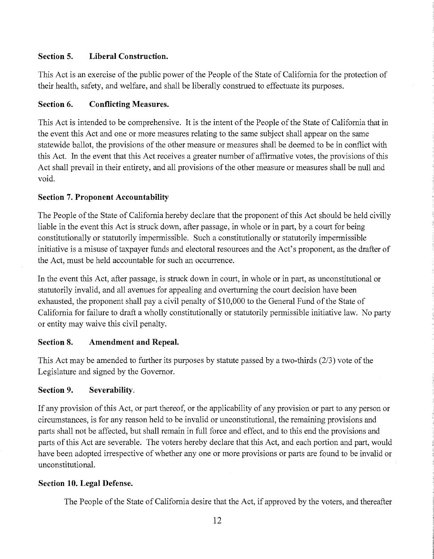# **Section 5. Liberal Construction.**

This Act is an exercise of the public power of the People of the State of California for the protection of their health, safety, and welfare, and shall be liberally construed to effectuate its purposes.

# **Section 6. Conflicting Measures.**

This Act is intended to be comprehensive. It is the intent of the People of the State of California that in the event this Act and one or more measures relating to the same subject shall appear on the same statewide ballot, the provisions of the other measure or measures shall be deemed to be in conflict with this Act. In the event that this Act receives a greater number of affirmative votes, the provisions of this Act shall prevail in their entirety, and all provisions of the other measure or measures shall be null and void.

# **Section 7. Proponent Accountability**

The People of the State of California hereby declare that the proponent of this Act should be held civilly liable in the event this Act is struck down, after passage, in whole or in part, by a court for being constitutionally or statutorily impermissible. Such a constitutionally or statutorily impermissible initiative is a misuse of taxpayer funds and electoral resources and the Act's proponent, as the drafter of the Act, must be held accountable for such an occurrence.

In the event this Act, after passage, is struck down in court, in whole or in part, as unconstitutional or statutorily invalid, and all avenues for appealing and overturning the court decision have been exhausted, the proponent shall pay a civil penalty of \$10,000 to the General Fund of the State of California for failure to draft a wholly constitutionally or statutorily permissible initiative law. No party or entity may waive this civil penalty.

# **Section 8. Amendment and Repeal.**

This Act may be amended to further its purposes by statute passed by a two-thirds (2/3) vote of the Legislature and signed by the Governor.

# **Section 9. Severability.**

If any provision of this Act, or part thereof, or the applicability of any provision or part to any person or circumstances, is for any reason held to be invalid or unconstitutional, the remaining provisions and parts shall not be affected, but shall remain in full force and effect, and to this end the provisions and parts of this Act are severable. The voters hereby declare that this Act, and each portion and part, would have been adopted irrespective of whether any one or more provisions or parts are found to be invalid or unconstitutional.

# **Section 10. Legal Defense.**

The People of the State of California desire that the Act, if approved by the voters, and thereafter